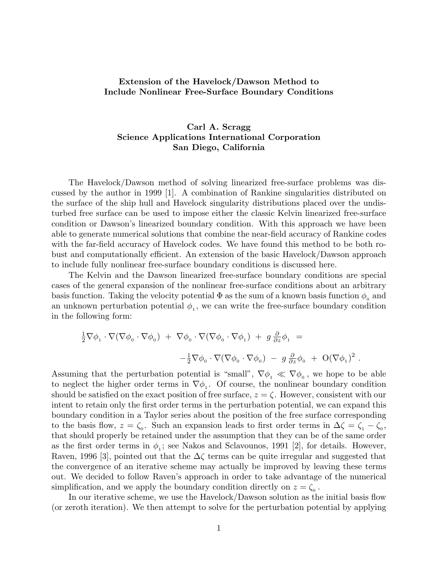## **Extension of the Havelock/Dawson Method to Include Nonlinear Free-Surface Boundary Conditions**

## **Carl A. Scragg Science Applications International Corporation San Diego, California**

The Havelock/Dawson method of solving linearized free-surface problems was discussed by the author in 1999 [1]. A combination of Rankine singularities distributed on the surface of the ship hull and Havelock singularity distributions placed over the undisturbed free surface can be used to impose either the classic Kelvin linearized free-surface condition or Dawson's linearized boundary condition. With this approach we have been able to generate numerical solutions that combine the near-field accuracy of Rankine codes with the far-field accuracy of Havelock codes. We have found this method to be both robust and computationally efficient. An extension of the basic Havelock/Dawson approach to include fully nonlinear free-surface boundary conditions is discussed here.

The Kelvin and the Dawson linearized free-surface boundary conditions are special cases of the general expansion of the nonlinear free-surface conditions about an arbitrary basis function. Taking the velocity potential  $\Phi$  as the sum of a known basis function  $\phi_0$  and an unknown perturbation potential  $\phi_1$ , we can write the free-surface boundary condition in the following form:

$$
\frac{1}{2}\nabla\phi_1 \cdot \nabla(\nabla\phi_0 \cdot \nabla\phi_0) + \nabla\phi_0 \cdot \nabla(\nabla\phi_0 \cdot \nabla\phi_1) + g\frac{\partial}{\partial z}\phi_1 =
$$
  

$$
-\frac{1}{2}\nabla\phi_0 \cdot \nabla(\nabla\phi_0 \cdot \nabla\phi_0) - g\frac{\partial}{\partial z}\phi_0 + O(\nabla\phi_1)^2.
$$

Assuming that the perturbation potential is "small",  $\nabla \phi_1 \ll \nabla \phi_0$ , we hope to be able to neglect the higher order terms in  $\nabla \phi_1$ . Of course, the nonlinear boundary condition should be satisfied on the exact position of free surface,  $z = \zeta$ . However, consistent with our intent to retain only the first order terms in the perturbation potential, we can expand this boundary condition in a Taylor series about the position of the free surface corresponding to the basis flow,  $z = \zeta_0$ . Such an expansion leads to first order terms in  $\Delta \zeta = \zeta_1 - \zeta_0$ , that should properly be retained under the assumption that they can be of the same order as the first order terms in  $\phi_1$ ; see Nakos and Sclavounos, 1991 [2], for details. However, Raven, 1996 [3], pointed out that the ∆*ζ* terms can be quite irregular and suggested that the convergence of an iterative scheme may actually be improved by leaving these terms out. We decided to follow Raven's approach in order to take advantage of the numerical simplification, and we apply the boundary condition directly on  $z = \zeta_0$ .

In our iterative scheme, we use the Havelock/Dawson solution as the initial basis flow (or zeroth iteration). We then attempt to solve for the perturbation potential by applying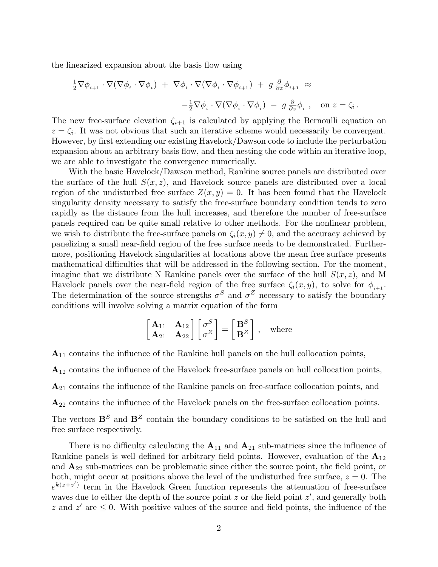the linearized expansion about the basis flow using

$$
\frac{1}{2}\nabla\phi_{i+1}\cdot\nabla(\nabla\phi_i\cdot\nabla\phi_i) + \nabla\phi_i\cdot\nabla(\nabla\phi_i\cdot\nabla\phi_{i+1}) + g\frac{\partial}{\partial z}\phi_{i+1} \approx
$$
  

$$
-\frac{1}{2}\nabla\phi_i\cdot\nabla(\nabla\phi_i\cdot\nabla\phi_i) - g\frac{\partial}{\partial z}\phi_i, \text{ on } z = \zeta_i.
$$

The new free-surface elevation  $\zeta_{i+1}$  is calculated by applying the Bernoulli equation on  $z = \zeta_i$ . It was not obvious that such an iterative scheme would necessarily be convergent. However, by first extending our existing Havelock/Dawson code to include the perturbation expansion about an arbitrary basis flow, and then nesting the code within an iterative loop, we are able to investigate the convergence numerically.

With the basic Havelock/Dawson method, Rankine source panels are distributed over the surface of the hull  $S(x, z)$ , and Havelock source panels are distributed over a local region of the undisturbed free surface  $Z(x, y) = 0$ . It has been found that the Havelock singularity density necessary to satisfy the free-surface boundary condition tends to zero rapidly as the distance from the hull increases, and therefore the number of free-surface panels required can be quite small relative to other methods. For the nonlinear problem, we wish to distribute the free-surface panels on  $\zeta_i(x, y) \neq 0$ , and the accuracy achieved by panelizing a small near-field region of the free surface needs to be demonstrated. Furthermore, positioning Havelock singularities at locations above the mean free surface presents mathematical difficulties that will be addressed in the following section. For the moment, imagine that we distribute N Rankine panels over the surface of the hull  $S(x, z)$ , and M Havelock panels over the near-field region of the free surface  $\zeta_i(x, y)$ , to solve for  $\phi_{i+1}$ . The determination of the source strengths  $\sigma^S$  and  $\sigma^Z$  necessary to satisfy the boundary conditions will involve solving a matrix equation of the form

$$
\begin{bmatrix} \mathbf{A}_{11} & \mathbf{A}_{12} \\ \mathbf{A}_{21} & \mathbf{A}_{22} \end{bmatrix} \begin{bmatrix} \sigma^S \\ \sigma^Z \end{bmatrix} = \begin{bmatrix} \mathbf{B}^S \\ \mathbf{B}^Z \end{bmatrix}, \text{ where}
$$

**A**<sup>11</sup> contains the influence of the Rankine hull panels on the hull collocation points,

**A**<sup>12</sup> contains the influence of the Havelock free-surface panels on hull collocation points,

**A**<sup>21</sup> contains the influence of the Rankine panels on free-surface collocation points, and

**A**<sup>22</sup> contains the influence of the Havelock panels on the free-surface collocation points.

The vectors  $\mathbf{B}^S$  and  $\mathbf{B}^Z$  contain the boundary conditions to be satisfied on the hull and free surface respectively.

There is no difficulty calculating the  $A_{11}$  and  $A_{21}$  sub-matrices since the influence of Rankine panels is well defined for arbitrary field points. However, evaluation of the **A**<sup>12</sup> and  $\mathbf{A}_{22}$  sub-matrices can be problematic since either the source point, the field point, or both, might occur at positions above the level of the undisturbed free surface,  $z = 0$ . The  $e^{k(z+z')}$  term in the Havelock Green function represents the attenuation of free-surface waves due to either the depth of the source point *z* or the field point *z'*, and generally both *z* and  $z'$  are  $\leq 0$ . With positive values of the source and field points, the influence of the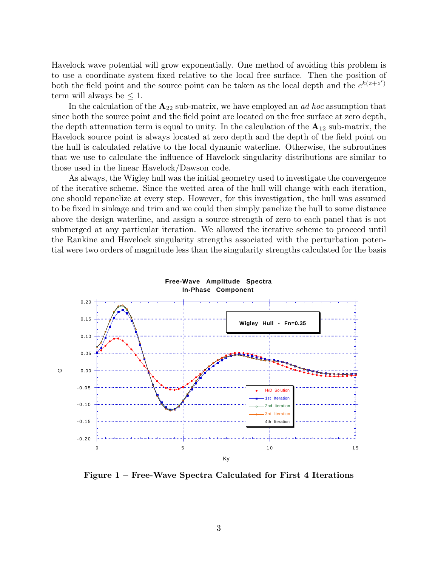Havelock wave potential will grow exponentially. One method of avoiding this problem is to use a coordinate system fixed relative to the local free surface. Then the position of both the field point and the source point can be taken as the local depth and the  $e^{k(z+z')}$ term will always be  $\leq 1$ .

In the calculation of the  $A_{22}$  sub-matrix, we have employed an *ad hoc* assumption that since both the source point and the field point are located on the free surface at zero depth, the depth attenuation term is equal to unity. In the calculation of the  $A_{12}$  sub-matrix, the Havelock source point is always located at zero depth and the depth of the field point on the hull is calculated relative to the local dynamic waterline. Otherwise, the subroutines that we use to calculate the influence of Havelock singularity distributions are similar to those used in the linear Havelock/Dawson code.

As always, the Wigley hull was the initial geometry used to investigate the convergence of the iterative scheme. Since the wetted area of the hull will change with each iteration, one should repanelize at every step. However, for this investigation, the hull was assumed to be fixed in sinkage and trim and we could then simply panelize the hull to some distance above the design waterline, and assign a source strength of zero to each panel that is not submerged at any particular iteration. We allowed the iterative scheme to proceed until the Rankine and Havelock singularity strengths associated with the perturbation potential were two orders of magnitude less than the singularity strengths calculated for the basis



**Figure 1 – Free-Wave Spectra Calculated for First 4 Iterations**